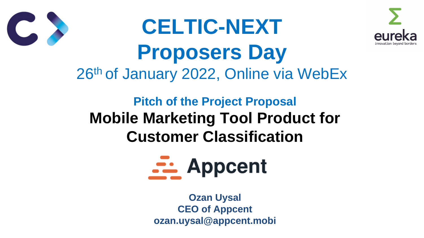## **Pitch of the Project Proposal Mobile Marketing Tool Product for Customer Classification**





# **CELTIC-NEXT Proposers Day** 26th of January 2022, Online via WebEx

**Ozan Uysal CEO of Appcent ozan.uysal@appcent.mobi**



# **SE Appcent**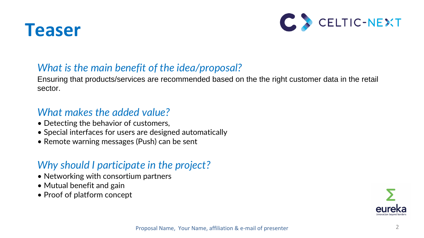



### *What is the main benefit of the idea/proposal?*

Ensuring that products/services are recommended based on the the right customer data in the retail sector.

### *What makes the added value?*

- Networking with consortium partners
- Mutual benefit and gain
- Proof of platform concept





- Detecting the behavior of customers,
- Special interfaces for users are designed automatically
- Remote warning messages (Push) can be sent

### *Why should I participate in the project?*

Proposal Name, Your Name, affiliation & e-mail of presenter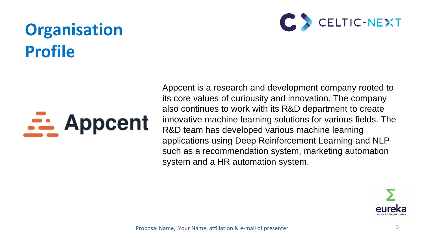# **Organisation Profile**

# <u>Su</u> Appcent

Appcent is a research and development company rooted to its core values of curiousity and innovation. The company also continues to work with its R&D department to create innovative machine learning solutions for various fields. The R&D team has developed various machine learning applications using Deep Reinforcement Learning and NLP such as a recommendation system, marketing automation system and a HR automation system.



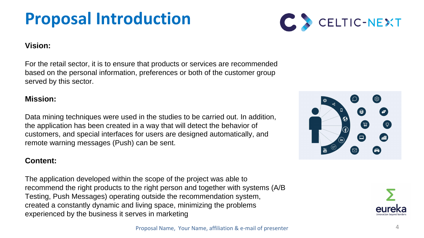# **Proposal Introduction**

4

#### **Vision:**

For the retail sector, it is to ensure that products or services are recommended based on the personal information, preferences or both of the customer group served by this sector.

#### **Mission:**

Data mining techniques were used in the studies to be carried out. In addition, the application has been created in a way that will detect the behavior of customers, and special interfaces for users are designed automatically, and remote warning messages (Push) can be sent.

#### **Content:**

The application developed within the scope of the project was able to recommend the right products to the right person and together with systems (A/B Testing, Push Messages) operating outside the recommendation system, created a constantly dynamic and living space, minimizing the problems experienced by the business it serves in marketing



 $\odot$  $\bullet$  $\sum$ 



Proposal Name, Your Name, affiliation & e-mail of presenter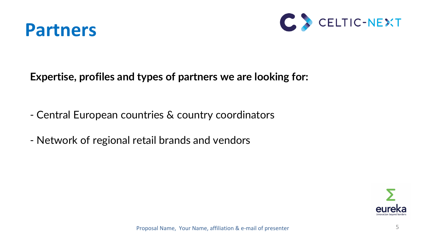

### **Expertise, profiles and types of partners we are looking for:**

- Central European countries & country coordinators
- Network of regional retail brands and vendors

Proposal Name, Your Name, affiliation & e-mail of presenter